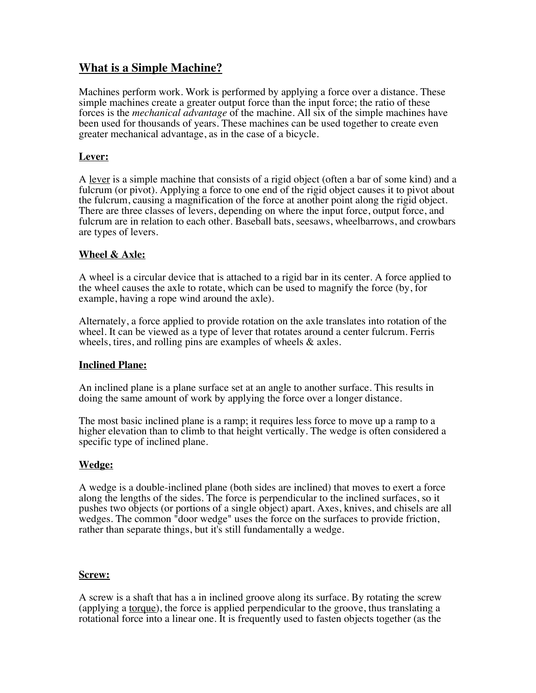# **What is a Simple Machine?**

Machines perform work. Work is performed by applying a force over a distance. These simple machines create a greater output force than the input force; the ratio of these forces is the *mechanical advantage* of the machine. All six of the simple machines have been used for thousands of years. These machines can be used together to create even greater mechanical advantage, as in the case of a bicycle.

## **Lever:**

A lever is a simple machine that consists of a rigid object (often a bar of some kind) and a fulcrum (or pivot). Applying a force to one end of the rigid object causes it to pivot about the fulcrum, causing a magnification of the force at another point along the rigid object. There are three classes of levers, depending on where the input force, output force, and fulcrum are in relation to each other. Baseball bats, seesaws, wheelbarrows, and crowbars are types of levers.

### **Wheel & Axle:**

A wheel is a circular device that is attached to a rigid bar in its center. A force applied to the wheel causes the axle to rotate, which can be used to magnify the force (by, for example, having a rope wind around the axle).

Alternately, a force applied to provide rotation on the axle translates into rotation of the wheel. It can be viewed as a type of lever that rotates around a center fulcrum. Ferris wheels, tires, and rolling pins are examples of wheels  $\&$  axles.

### **Inclined Plane:**

An inclined plane is a plane surface set at an angle to another surface. This results in doing the same amount of work by applying the force over a longer distance.

The most basic inclined plane is a ramp; it requires less force to move up a ramp to a higher elevation than to climb to that height vertically. The wedge is often considered a specific type of inclined plane.

#### **Wedge:**

A wedge is a double-inclined plane (both sides are inclined) that moves to exert a force along the lengths of the sides. The force is perpendicular to the inclined surfaces, so it pushes two objects (or portions of a single object) apart. Axes, knives, and chisels are all wedges. The common "door wedge" uses the force on the surfaces to provide friction, rather than separate things, but it's still fundamentally a wedge.

#### **Screw:**

A screw is a shaft that has a in inclined groove along its surface. By rotating the screw (applying a torque), the force is applied perpendicular to the groove, thus translating a rotational force into a linear one. It is frequently used to fasten objects together (as the